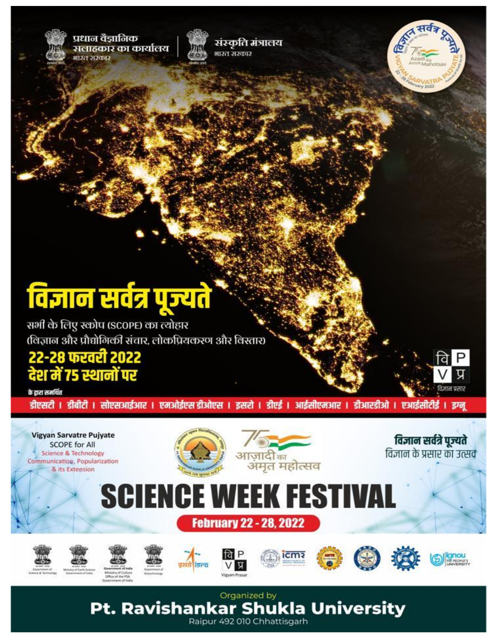





वज्ञान प्रसार

## विज्ञान सर्वत्र पूज्यते

सभी के लिए स्कोप (SCOPE) का त्योहार (विज्ञान और प्रौद्योगिकी संचार, लोकप्रियकरण और विस्तार)

## 22-28 फरवरी 2022 देश में 75 स्थानों पर

के द्वारा समर्थित

डीएसटी । डीबीटी । सोएसआईआर । एमओईएस डीओएस । इसरो । डीएई । आईसीएमआर । डीआरडीओ । एआईसीटीई । इग्नू

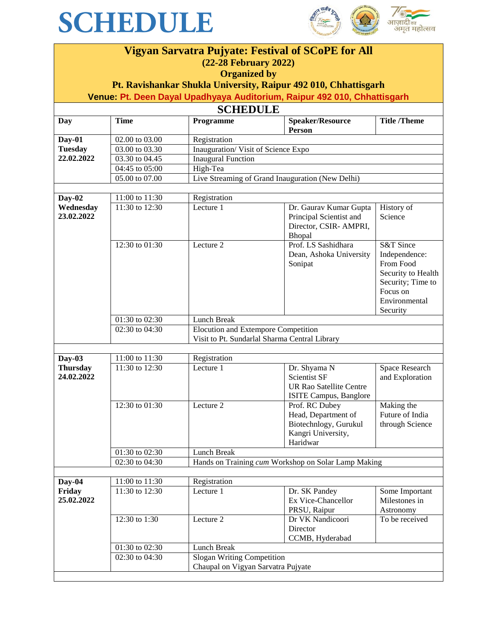



| <b>Vigyan Sarvatra Pujyate: Festival of SCoPE for All</b>                |                                    |                                                                                      |                                                     |                    |  |  |  |  |
|--------------------------------------------------------------------------|------------------------------------|--------------------------------------------------------------------------------------|-----------------------------------------------------|--------------------|--|--|--|--|
| <b>(22-28 February 2022)</b>                                             |                                    |                                                                                      |                                                     |                    |  |  |  |  |
| <b>Organized by</b>                                                      |                                    |                                                                                      |                                                     |                    |  |  |  |  |
| Pt. Ravishankar Shukla University, Raipur 492 010, Chhattisgarh          |                                    |                                                                                      |                                                     |                    |  |  |  |  |
| Venue: Pt. Deen Dayal Upadhyaya Auditorium, Raipur 492 010, Chhattisgarh |                                    |                                                                                      |                                                     |                    |  |  |  |  |
| <b>SCHEDULE</b>                                                          |                                    |                                                                                      |                                                     |                    |  |  |  |  |
| Day                                                                      | <b>Time</b>                        | Programme                                                                            | <b>Speaker/Resource</b>                             | <b>Title/Theme</b> |  |  |  |  |
|                                                                          |                                    |                                                                                      | Person                                              |                    |  |  |  |  |
| Day-01                                                                   | 02.00 to 03.00                     | Registration                                                                         |                                                     |                    |  |  |  |  |
| <b>Tuesday</b>                                                           | 03.00 to 03.30                     | Inauguration/ Visit of Science Expo                                                  |                                                     |                    |  |  |  |  |
| 22.02.2022                                                               | 03.30 to 04.45                     | <b>Inaugural Function</b>                                                            |                                                     |                    |  |  |  |  |
|                                                                          | 04:45 to 05:00                     | High-Tea                                                                             |                                                     |                    |  |  |  |  |
|                                                                          | 05.00 to 07.00                     |                                                                                      | Live Streaming of Grand Inauguration (New Delhi)    |                    |  |  |  |  |
|                                                                          |                                    |                                                                                      |                                                     |                    |  |  |  |  |
| $Day-02$                                                                 | 11:00 to 11:30                     | Registration                                                                         |                                                     |                    |  |  |  |  |
| Wednesday                                                                | 11:30 to 12:30                     | Lecture 1                                                                            | Dr. Gaurav Kumar Gupta                              | History of         |  |  |  |  |
| 23.02.2022                                                               |                                    |                                                                                      | Principal Scientist and                             | Science            |  |  |  |  |
|                                                                          |                                    |                                                                                      | Director, CSIR- AMPRI,                              |                    |  |  |  |  |
|                                                                          |                                    |                                                                                      | Bhopal                                              |                    |  |  |  |  |
|                                                                          | 12:30 to 01:30                     | Lecture 2                                                                            | Prof. LS Sashidhara                                 | S&T Since          |  |  |  |  |
|                                                                          |                                    |                                                                                      | Dean, Ashoka University                             | Independence:      |  |  |  |  |
|                                                                          |                                    |                                                                                      | Sonipat                                             | From Food          |  |  |  |  |
|                                                                          |                                    |                                                                                      |                                                     | Security to Health |  |  |  |  |
|                                                                          |                                    |                                                                                      |                                                     | Security; Time to  |  |  |  |  |
|                                                                          |                                    |                                                                                      |                                                     | Focus on           |  |  |  |  |
|                                                                          |                                    |                                                                                      |                                                     | Environmental      |  |  |  |  |
|                                                                          |                                    |                                                                                      |                                                     | Security           |  |  |  |  |
|                                                                          | 01:30 to 02:30                     | Lunch Break                                                                          |                                                     |                    |  |  |  |  |
|                                                                          | 02:30 to 04:30                     | Elocution and Extempore Competition<br>Visit to Pt. Sundarlal Sharma Central Library |                                                     |                    |  |  |  |  |
|                                                                          |                                    |                                                                                      |                                                     |                    |  |  |  |  |
| $Day-03$                                                                 | 11:00 to 11:30                     | Registration                                                                         |                                                     |                    |  |  |  |  |
| <b>Thursday</b>                                                          | 11:30 to 12:30                     | Lecture 1                                                                            | Dr. Shyama N                                        | Space Research     |  |  |  |  |
| 24.02.2022                                                               |                                    |                                                                                      | <b>Scientist SF</b>                                 | and Exploration    |  |  |  |  |
|                                                                          |                                    |                                                                                      | <b>UR Rao Satellite Centre</b>                      |                    |  |  |  |  |
|                                                                          |                                    |                                                                                      | ISITE Campus, Banglore                              |                    |  |  |  |  |
|                                                                          | 12:30 to 01:30                     | Lecture 2                                                                            | Prof. RC Dubey                                      | Making the         |  |  |  |  |
|                                                                          |                                    |                                                                                      | Head, Department of                                 | Future of India    |  |  |  |  |
|                                                                          |                                    |                                                                                      | Biotechnlogy, Gurukul                               | through Science    |  |  |  |  |
|                                                                          |                                    |                                                                                      | Kangri University,                                  |                    |  |  |  |  |
|                                                                          |                                    |                                                                                      | Haridwar                                            |                    |  |  |  |  |
|                                                                          | 01:30 to 02:30                     | Lunch Break                                                                          |                                                     |                    |  |  |  |  |
|                                                                          | 02:30 to 04:30                     |                                                                                      | Hands on Training cum Workshop on Solar Lamp Making |                    |  |  |  |  |
|                                                                          |                                    |                                                                                      |                                                     |                    |  |  |  |  |
| Day-04                                                                   | 11:00 to 11:30                     | Registration                                                                         |                                                     |                    |  |  |  |  |
| Friday                                                                   | 11:30 to 12:30                     | Lecture 1                                                                            | Dr. SK Pandey                                       | Some Important     |  |  |  |  |
| 25.02.2022                                                               |                                    |                                                                                      | Ex Vice-Chancellor                                  | Milestones in      |  |  |  |  |
|                                                                          |                                    |                                                                                      | PRSU, Raipur                                        | Astronomy          |  |  |  |  |
|                                                                          | 12:30 to 1:30                      | Lecture 2                                                                            | Dr VK Nandicoori                                    | To be received     |  |  |  |  |
|                                                                          |                                    |                                                                                      | Director                                            |                    |  |  |  |  |
|                                                                          |                                    |                                                                                      | CCMB, Hyderabad                                     |                    |  |  |  |  |
|                                                                          | 01:30 to 02:30                     |                                                                                      |                                                     |                    |  |  |  |  |
|                                                                          | 02:30 to 04:30                     |                                                                                      | Slogan Writing Competition                          |                    |  |  |  |  |
|                                                                          | Chaupal on Vigyan Sarvatra Pujyate |                                                                                      |                                                     |                    |  |  |  |  |
|                                                                          |                                    |                                                                                      |                                                     |                    |  |  |  |  |